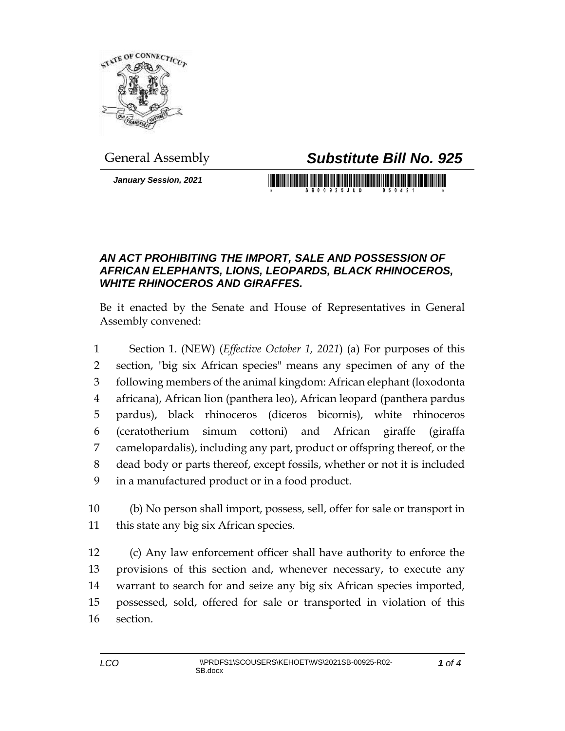

## General Assembly *Substitute Bill No. 925*

*January Session, 2021*

## <u> III di kacamatan ing Kabupatèn III di kacamatan III di kacamatan III di kacamatan III di kacamatan III di kacamatan III di kacamatan III di kacamatan III di kacamatan III di kacamatan III di kacamatan III di kacamatan II</u>

## *AN ACT PROHIBITING THE IMPORT, SALE AND POSSESSION OF AFRICAN ELEPHANTS, LIONS, LEOPARDS, BLACK RHINOCEROS, WHITE RHINOCEROS AND GIRAFFES.*

Be it enacted by the Senate and House of Representatives in General Assembly convened:

 Section 1. (NEW) (*Effective October 1, 2021*) (a) For purposes of this section, "big six African species" means any specimen of any of the following members of the animal kingdom: African elephant (loxodonta africana), African lion (panthera leo), African leopard (panthera pardus pardus), black rhinoceros (diceros bicornis), white rhinoceros (ceratotherium simum cottoni) and African giraffe (giraffa camelopardalis), including any part, product or offspring thereof, or the dead body or parts thereof, except fossils, whether or not it is included in a manufactured product or in a food product.

 (b) No person shall import, possess, sell, offer for sale or transport in this state any big six African species.

 (c) Any law enforcement officer shall have authority to enforce the provisions of this section and, whenever necessary, to execute any warrant to search for and seize any big six African species imported, possessed, sold, offered for sale or transported in violation of this section.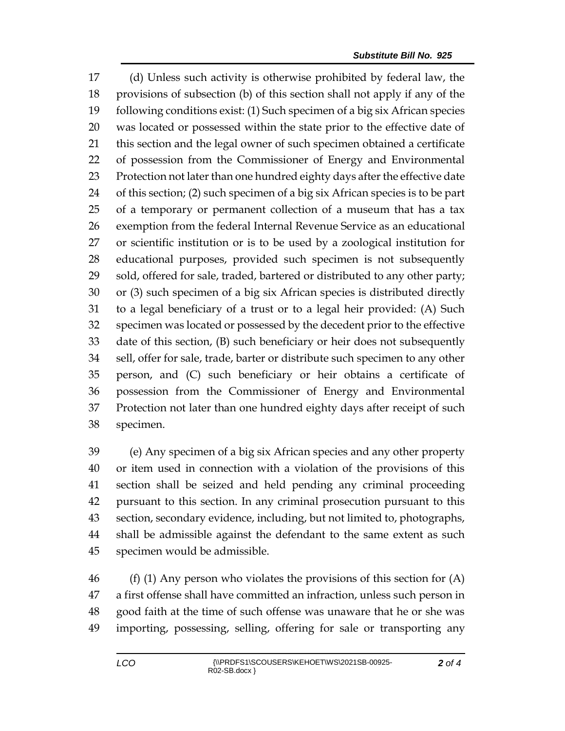(d) Unless such activity is otherwise prohibited by federal law, the provisions of subsection (b) of this section shall not apply if any of the following conditions exist: (1) Such specimen of a big six African species was located or possessed within the state prior to the effective date of this section and the legal owner of such specimen obtained a certificate of possession from the Commissioner of Energy and Environmental Protection not later than one hundred eighty days after the effective date of this section; (2) such specimen of a big six African species is to be part of a temporary or permanent collection of a museum that has a tax exemption from the federal Internal Revenue Service as an educational or scientific institution or is to be used by a zoological institution for educational purposes, provided such specimen is not subsequently sold, offered for sale, traded, bartered or distributed to any other party; or (3) such specimen of a big six African species is distributed directly to a legal beneficiary of a trust or to a legal heir provided: (A) Such specimen was located or possessed by the decedent prior to the effective date of this section, (B) such beneficiary or heir does not subsequently sell, offer for sale, trade, barter or distribute such specimen to any other person, and (C) such beneficiary or heir obtains a certificate of possession from the Commissioner of Energy and Environmental Protection not later than one hundred eighty days after receipt of such specimen.

 (e) Any specimen of a big six African species and any other property or item used in connection with a violation of the provisions of this section shall be seized and held pending any criminal proceeding pursuant to this section. In any criminal prosecution pursuant to this section, secondary evidence, including, but not limited to, photographs, shall be admissible against the defendant to the same extent as such specimen would be admissible.

 (f) (1) Any person who violates the provisions of this section for (A) a first offense shall have committed an infraction, unless such person in good faith at the time of such offense was unaware that he or she was importing, possessing, selling, offering for sale or transporting any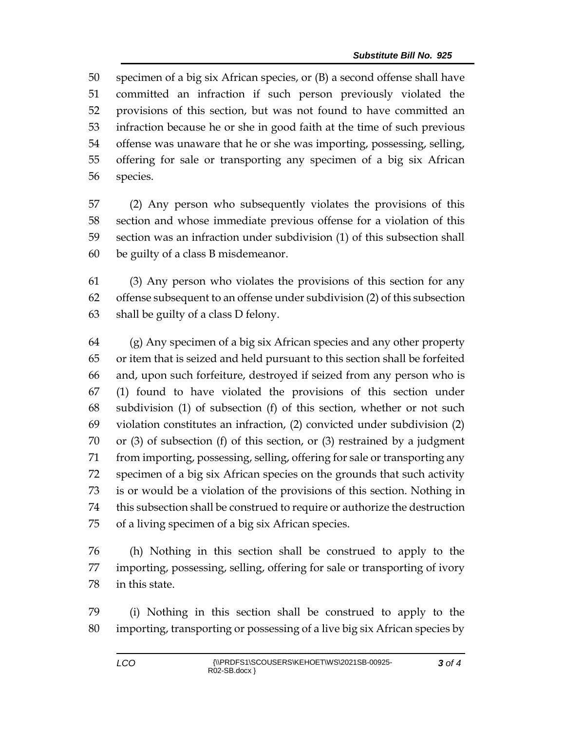specimen of a big six African species, or (B) a second offense shall have committed an infraction if such person previously violated the provisions of this section, but was not found to have committed an infraction because he or she in good faith at the time of such previous offense was unaware that he or she was importing, possessing, selling, offering for sale or transporting any specimen of a big six African species.

 (2) Any person who subsequently violates the provisions of this section and whose immediate previous offense for a violation of this section was an infraction under subdivision (1) of this subsection shall be guilty of a class B misdemeanor.

 (3) Any person who violates the provisions of this section for any offense subsequent to an offense under subdivision (2) of this subsection shall be guilty of a class D felony.

 (g) Any specimen of a big six African species and any other property or item that is seized and held pursuant to this section shall be forfeited and, upon such forfeiture, destroyed if seized from any person who is (1) found to have violated the provisions of this section under subdivision (1) of subsection (f) of this section, whether or not such violation constitutes an infraction, (2) convicted under subdivision (2) or (3) of subsection (f) of this section, or (3) restrained by a judgment from importing, possessing, selling, offering for sale or transporting any specimen of a big six African species on the grounds that such activity is or would be a violation of the provisions of this section. Nothing in this subsection shall be construed to require or authorize the destruction of a living specimen of a big six African species.

 (h) Nothing in this section shall be construed to apply to the importing, possessing, selling, offering for sale or transporting of ivory in this state.

 (i) Nothing in this section shall be construed to apply to the importing, transporting or possessing of a live big six African species by